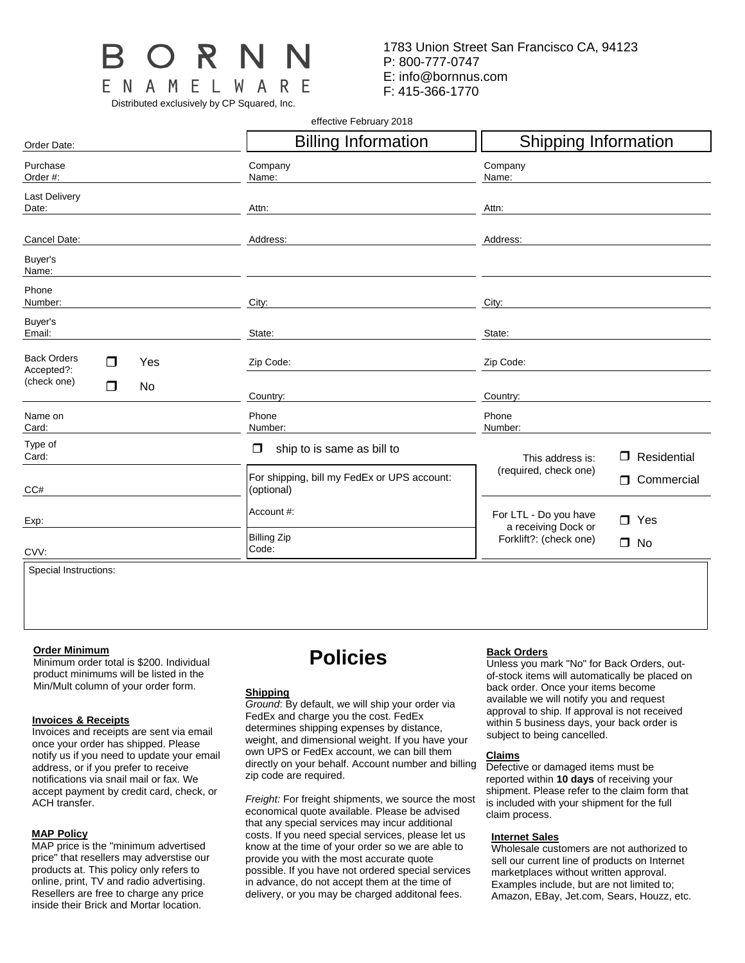

Distributed exclusively by CP Squared, Inc.

1783 Union Street San Francisco CA, 94123 P: 800-777-0747 E: info@bornnus.com F: 415-366-1770

effective February 2018

| Order Date:                                  | <b>Billing Information</b>                                | <b>Shipping Information</b>                                |  |  |  |  |
|----------------------------------------------|-----------------------------------------------------------|------------------------------------------------------------|--|--|--|--|
| Purchase<br>Order #:                         | Company<br>Name:                                          | Company<br>Name:                                           |  |  |  |  |
| <b>Last Delivery</b><br>Date:                | Attn:                                                     | Attn:                                                      |  |  |  |  |
| Cancel Date:                                 | Address:                                                  | Address:                                                   |  |  |  |  |
| Buyer's<br>Name:                             |                                                           |                                                            |  |  |  |  |
| Phone<br>Number:                             | City:                                                     | City:                                                      |  |  |  |  |
| Buyer's<br>Email:                            | State:                                                    | State:                                                     |  |  |  |  |
| <b>Back Orders</b><br>Yes<br>⊓<br>Accepted?: | Zip Code:                                                 | Zip Code:                                                  |  |  |  |  |
| (check one)<br>⊓<br>No                       | Country:                                                  | Country:                                                   |  |  |  |  |
| Name on<br>Card:                             | Phone<br>Number:                                          | Phone<br>Number:                                           |  |  |  |  |
| Type of<br>Card:                             | ship to is same as bill to<br>□                           | Residential<br>This address is:<br>□                       |  |  |  |  |
| CC#                                          | For shipping, bill my FedEx or UPS account:<br>(optional) | (required, check one)<br>Commercial<br>$\Box$              |  |  |  |  |
| Exp:                                         | Account #:                                                | For LTL - Do you have<br>$\Box$ Yes<br>a receiving Dock or |  |  |  |  |
| CVV:                                         | <b>Billing Zip</b><br>Code:                               | Forklift?: (check one)<br>$\Box$ No                        |  |  |  |  |
| Special Instructions:                        |                                                           |                                                            |  |  |  |  |

Special Instructions:

#### **Order Minimum**

Minimum order total is \$200. Individual product minimums will be listed in the Min/Mult column of your order form.

## **Invoices & Receipts**

Invoices and receipts are sent via email once your order has shipped. Please notify us if you need to update your email address, or if you prefer to receive notifications via snail mail or fax. We accept payment by credit card, check, or ACH transfer.

## **MAP Policy**

MAP price is the "minimum advertised price" that resellers may adverstise our products at. This policy only refers to online, print, TV and radio advertising. Resellers are free to charge any price inside their Brick and Mortar location.

# **Policies**

#### **Shipping**

*Ground*: By default, we will ship your order via FedEx and charge you the cost. FedEx determines shipping expenses by distance, weight, and dimensional weight. If you have your own UPS or FedEx account, we can bill them directly on your behalf. Account number and billing zip code are required.

*Freight:* For freight shipments, we source the most economical quote available. Please be advised that any special services may incur additional costs. If you need special services, please let us know at the time of your order so we are able to provide you with the most accurate quote possible. If you have not ordered special services in advance, do not accept them at the time of delivery, or you may be charged additonal fees.

## **Back Orders**

Unless you mark "No" for Back Orders, outof-stock items will automatically be placed on back order. Once your items become available we will notify you and request approval to ship. If approval is not received within 5 business days, your back order is subject to being cancelled.

## **Claims**

Defective or damaged items must be reported within **10 days** of receiving your shipment. Please refer to the claim form that is included with your shipment for the full claim process.

## **Internet Sales**

Wholesale customers are not authorized to sell our current line of products on Internet marketplaces without written approval. Examples include, but are not limited to; Amazon, EBay, Jet.com, Sears, Houzz, etc.